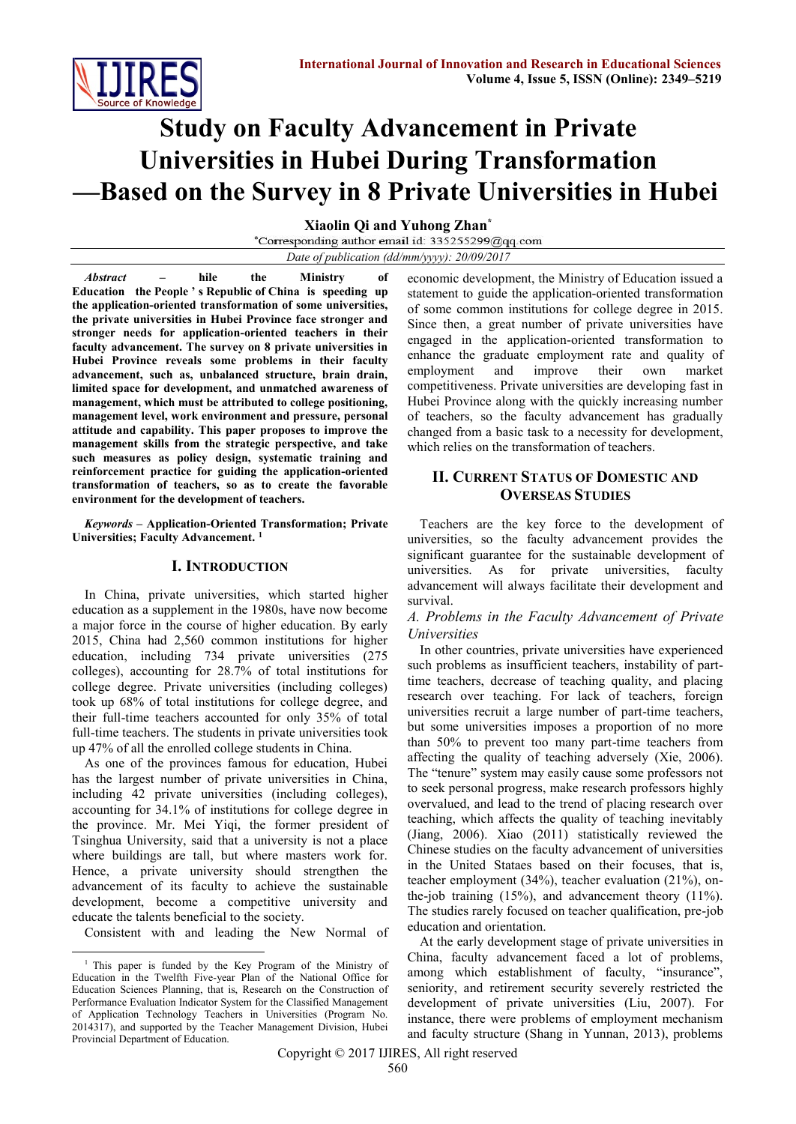

# **Study on Faculty Advancement in Private Universities in Hubei During Transformation —Based on the Survey in 8 Private Universities in Hubei**

**Xiaolin Qi and Yuhong Zhan\*** *Date of publication (dd/mm/yyyy): 20/09/2017*

*Abstract* **– hile the Ministry of Education [the](file:///C:/Users/xiaolin/AppData/Local/youdao/dict/Application/6.3.69.8341/resultui/frame/javascript:void(0);) [People](file:///C:/Users/xiaolin/AppData/Local/youdao/dict/Application/6.3.69.8341/resultui/frame/javascript:void(0);) ' [s](file:///C:/Users/xiaolin/AppData/Local/youdao/dict/Application/6.3.69.8341/resultui/frame/javascript:void(0);) [Republic](file:///C:/Users/xiaolin/AppData/Local/youdao/dict/Application/6.3.69.8341/resultui/frame/javascript:void(0);) [of](file:///C:/Users/xiaolin/AppData/Local/youdao/dict/Application/6.3.69.8341/resultui/frame/javascript:void(0);) [China](file:///C:/Users/xiaolin/AppData/Local/youdao/dict/Application/6.3.69.8341/resultui/frame/javascript:void(0);) is speeding up the application-oriented transformation of some universities, the private universities in Hubei Province face stronger and stronger needs for application-oriented teachers in their faculty advancement. The survey on 8 private universities in Hubei Province reveals some problems in their faculty advancement, such as, unbalanced structure, brain drain, limited space for development, and unmatched awareness of management, which must be attributed to college positioning, management level, work environment and pressure, personal attitude and capability. This paper proposes to improve the management skills from the strategic perspective, and take such measures as policy design, systematic training and reinforcement practice for guiding the application-oriented transformation of teachers, so as to create the favorable environment for the development of teachers.**

*Keywords –* **Application-Oriented Transformation; Private Universities; Faculty Advancement. 1**

#### **I. INTRODUCTION**

In China, private universities, which started higher education as a supplement in the 1980s, have now become a major force in the course of higher education. By early 2015, China had 2,560 common institutions for higher education, including 734 private universities (275 colleges), accounting for 28.7% of total institutions for college degree. Private universities (including colleges) took up 68% of total institutions for college degree, and their full-time teachers accounted for only 35% of total full-time teachers. The students in private universities took up 47% of all the enrolled college students in China.

As one of the provinces famous for education, Hubei has the largest number of private universities in China, including 42 private universities (including colleges), accounting for 34.1% of institutions for college degree in the province. Mr. Mei Yiqi, the former president of Tsinghua University, said that a university is not a place where buildings are tall, but where masters work for. Hence, a private university should strengthen the advancement of its faculty to achieve the sustainable development, become a competitive university and educate the talents beneficial to the society.

Consistent with and leading the New Normal of

1

economic development, the Ministry of Education issued a statement to guide the application-oriented transformation of some common institutions for college degree in 2015. Since then, a great number of private universities have engaged in the application-oriented transformation to enhance the graduate employment rate and quality of employment and improve their own market competitiveness. Private universities are developing fast in Hubei Province along with the quickly increasing number of teachers, so the faculty advancement has gradually changed from a basic task to a necessity for development, which relies on the transformation of teachers.

## **II. CURRENT STATUS OF DOMESTIC AND OVERSEAS STUDIES**

Teachers are the key force to the development of universities, so the faculty advancement provides the significant guarantee for the sustainable development of universities. As for private universities, faculty advancement will always facilitate their development and survival.

*A. Problems in the Faculty Advancement of Private Universities*

In other countries, private universities have experienced such problems as insufficient teachers, instability of parttime teachers, decrease of teaching quality, and placing research over teaching. For lack of teachers, foreign universities recruit a large number of part-time teachers, but some universities imposes a proportion of no more than 50% to prevent too many part-time teachers from affecting the quality of teaching adversely (Xie, 2006). The "tenure" system may easily cause some professors not to seek personal progress, make research professors highly overvalued, and lead to the trend of placing research over teaching, which affects the quality of teaching inevitably (Jiang, 2006). Xiao (2011) statistically reviewed the Chinese studies on the faculty advancement of universities in the United Stataes based on their focuses, that is, teacher employment (34%), teacher evaluation (21%), onthe-job training (15%), and advancement theory (11%). The studies rarely focused on teacher qualification, pre-job education and orientation.

At the early development stage of private universities in China, faculty advancement faced a lot of problems, among which establishment of faculty, "insurance", seniority, and retirement security severely restricted the development of private universities (Liu, 2007). For instance, there were problems of employment mechanism and faculty structure (Shang in Yunnan, 2013), problems

<sup>&</sup>lt;sup>1</sup> This paper is funded by the Key Program of the Ministry of Education in the Twelfth Five-year Plan of the National Office for Education Sciences Planning, that is, Research on the Construction of Performance Evaluation Indicator System for the Classified Management of Application Technology Teachers in Universities (Program No. 2014317), and supported by the Teacher Management Division, Hubei Provincial Department of Education.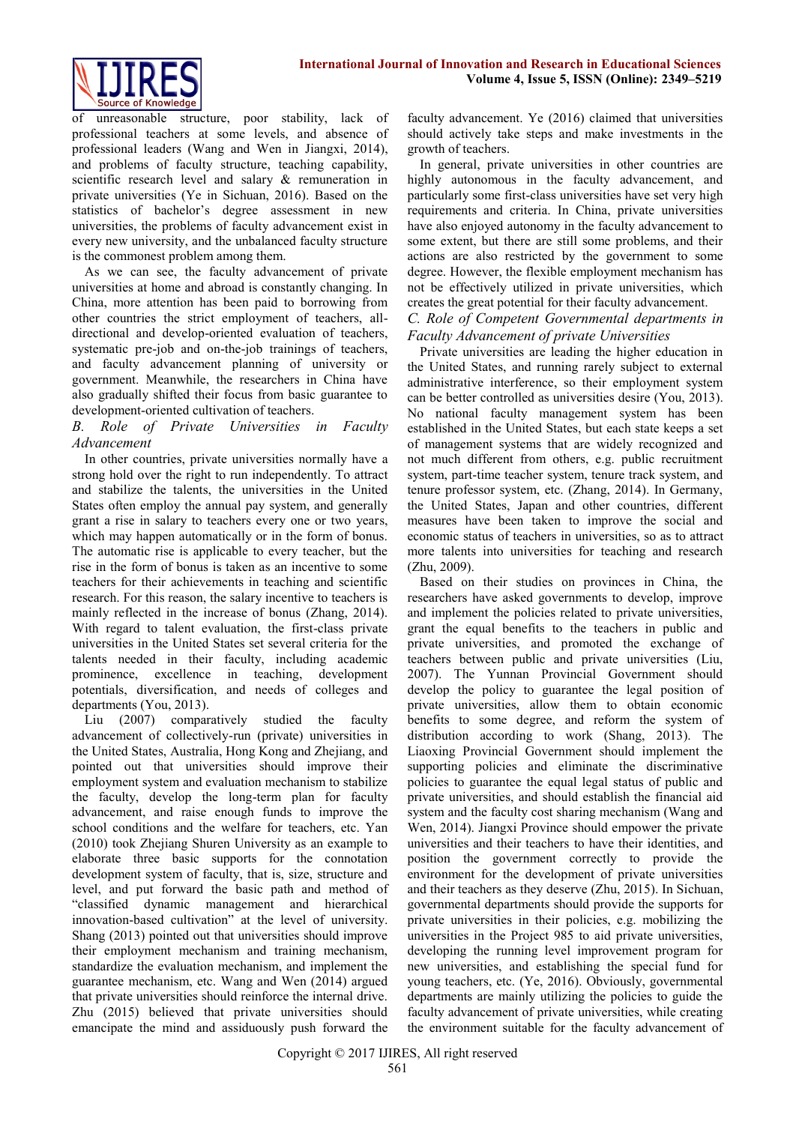

unreasonable structure, poor stability, lack of professional teachers at some levels, and absence of professional leaders (Wang and Wen in Jiangxi, 2014), and problems of faculty structure, teaching capability, scientific research level and salary & remuneration in private universities (Ye in Sichuan, 2016). Based on the statistics of bachelor's degree assessment in new universities, the problems of faculty advancement exist in every new university, and the unbalanced faculty structure is the commonest problem among them.

As we can see, the faculty advancement of private universities at home and abroad is constantly changing. In China, more attention has been paid to borrowing from other countries the strict employment of teachers, alldirectional and develop-oriented evaluation of teachers, systematic pre-job and on-the-job trainings of teachers, and faculty advancement planning of university or government. Meanwhile, the researchers in China have also gradually shifted their focus from basic guarantee to development-oriented cultivation of teachers.

#### *B. Role of Private Universities in Faculty Advancement*

In other countries, private universities normally have a strong hold over the right to run independently. To attract and stabilize the talents, the universities in the United States often employ the annual pay system, and generally grant a rise in salary to teachers every one or two years, which may happen automatically or in the form of bonus. The automatic rise is applicable to every teacher, but the rise in the form of bonus is taken as an incentive to some teachers for their achievements in teaching and scientific research. For this reason, the salary incentive to teachers is mainly reflected in the increase of bonus (Zhang, 2014). With regard to talent evaluation, the first-class private universities in the United States set several criteria for the talents needed in their faculty, including academic prominence, excellence in teaching, development potentials, diversification, and needs of colleges and departments (You, 2013).

Liu (2007) comparatively studied the faculty advancement of collectively-run (private) universities in the United States, Australia, Hong Kong and Zhejiang, and pointed out that universities should improve their employment system and evaluation mechanism to stabilize the faculty, develop the long-term plan for faculty advancement, and raise enough funds to improve the school conditions and the welfare for teachers, etc. Yan (2010) took Zhejiang Shuren University as an example to elaborate three basic supports for the connotation development system of faculty, that is, size, structure and level, and put forward the basic path and method of "classified dynamic management and hierarchical innovation-based cultivation" at the level of university. Shang (2013) pointed out that universities should improve their employment mechanism and training mechanism, standardize the evaluation mechanism, and implement the guarantee mechanism, etc. Wang and Wen (2014) argued that private universities should reinforce the internal drive. Zhu (2015) believed that private universities should emancipate the mind and assiduously push forward the

faculty advancement. Ye (2016) claimed that universities should actively take steps and make investments in the growth of teachers.

In general, private universities in other countries are highly autonomous in the faculty advancement, and particularly some first-class universities have set very high requirements and criteria. In China, private universities have also enjoyed autonomy in the faculty advancement to some extent, but there are still some problems, and their actions are also restricted by the government to some degree. However, the flexible employment mechanism has not be effectively utilized in private universities, which creates the great potential for their faculty advancement.

## *C. Role of Competent Governmental departments in Faculty Advancement of private Universities*

Private universities are leading the higher education in the United States, and running rarely subject to external administrative interference, so their employment system can be better controlled as universities desire (You, 2013). No national faculty management system has been established in the United States, but each state keeps a set of management systems that are widely recognized and not much different from others, e.g. public recruitment system, part-time teacher system, tenure track system, and tenure professor system, etc. (Zhang, 2014). In Germany, the United States, Japan and other countries, different measures have been taken to improve the social and economic status of teachers in universities, so as to attract more talents into universities for teaching and research (Zhu, 2009).

Based on their studies on provinces in China, the researchers have asked governments to develop, improve and implement the policies related to private universities, grant the equal benefits to the teachers in public and private universities, and promoted the exchange of teachers between public and private universities (Liu, 2007). The Yunnan Provincial Government should develop the policy to guarantee the legal position of private universities, allow them to obtain economic benefits to some degree, and reform the system of distribution according to work (Shang, 2013). The Liaoxing Provincial Government should implement the supporting policies and eliminate the discriminative policies to guarantee the equal legal status of public and private universities, and should establish the financial aid system and the faculty cost sharing mechanism (Wang and Wen, 2014). Jiangxi Province should empower the private universities and their teachers to have their identities, and position the government correctly to provide the environment for the development of private universities and their teachers as they deserve (Zhu, 2015). In Sichuan, governmental departments should provide the supports for private universities in their policies, e.g. mobilizing the universities in the Project 985 to aid private universities, developing the running level improvement program for new universities, and establishing the special fund for young teachers, etc. (Ye, 2016). Obviously, governmental departments are mainly utilizing the policies to guide the faculty advancement of private universities, while creating the environment suitable for the faculty advancement of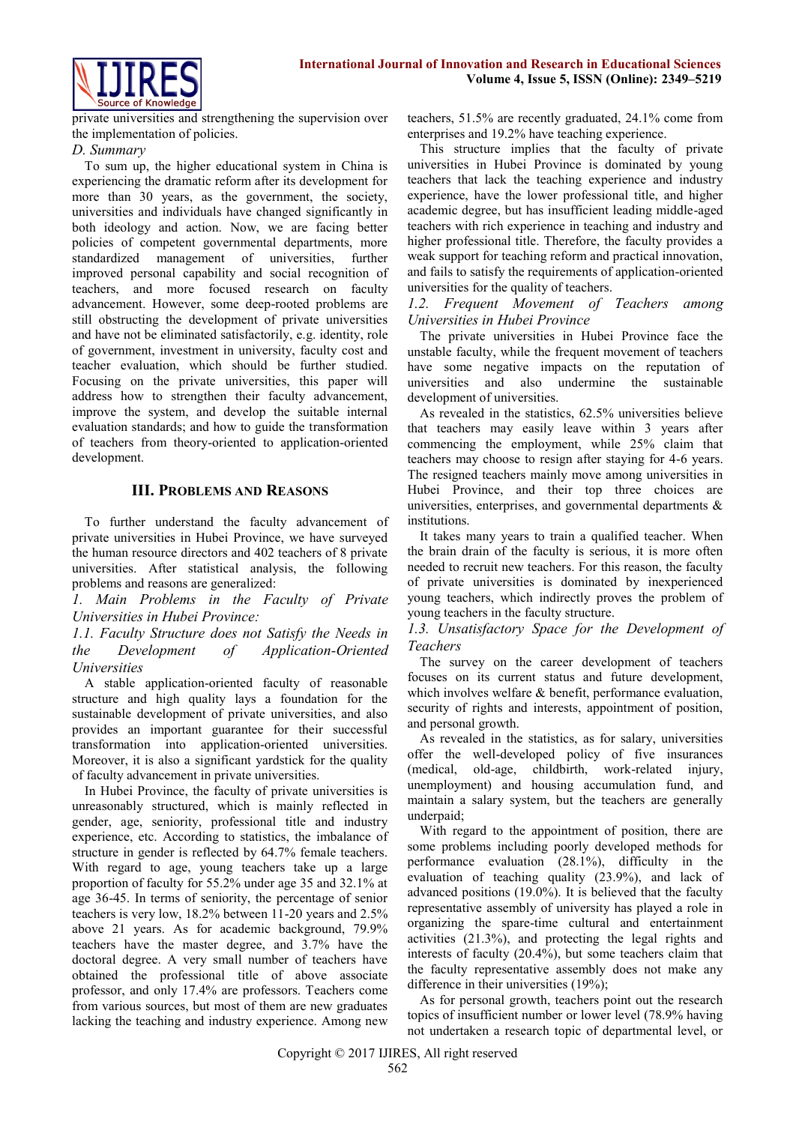

private universities and strengthening the supervision over the implementation of policies.

## *D. Summary*

To sum up, the higher educational system in China is experiencing the dramatic reform after its development for more than 30 years, as the government, the society, universities and individuals have changed significantly in both ideology and action. Now, we are facing better policies of competent governmental departments, more standardized management of universities, further improved personal capability and social recognition of teachers, and more focused research on faculty advancement. However, some deep-rooted problems are still obstructing the development of private universities and have not be eliminated satisfactorily, e.g. identity, role of government, investment in university, faculty cost and teacher evaluation, which should be further studied. Focusing on the private universities, this paper will address how to strengthen their faculty advancement, improve the system, and develop the suitable internal evaluation standards; and how to guide the transformation of teachers from theory-oriented to application-oriented development.

## **III. P[ROBLEMS](file:///C:/Users/xiaolin/AppData/Local/youdao/dict/Application/6.3.69.8341/resultui/frame/javascript:void(0);) [AND](file:///C:/Users/xiaolin/AppData/Local/youdao/dict/Application/6.3.69.8341/resultui/frame/javascript:void(0);) R[EASONS](file:///C:/Users/xiaolin/AppData/Local/youdao/dict/Application/6.3.69.8341/resultui/frame/javascript:void(0);)**

To further understand the faculty advancement of private universities in Hubei Province, we have surveyed the human resource directors and 402 teachers of 8 private universities. After statistical analysis, the following problems and reasons are generalized:

*1. Main Problems in the Faculty of Private Universities in Hubei Province:* 

*1.1. Faculty Structure does not Satisfy the Needs in the Development of Application-Oriented Universities*

A stable application-oriented faculty of reasonable structure and high quality lays a foundation for the sustainable development of private universities, and also provides an important guarantee for their successful transformation into application-oriented universities. Moreover, it is also a significant yardstick for the quality of faculty advancement in private universities.

In Hubei Province, the faculty of private universities is unreasonably structured, which is mainly reflected in gender, age, seniority, professional title and industry experience, etc. According to statistics, the imbalance of structure in gender is reflected by 64.7% female teachers. With regard to age, young teachers take up a large proportion of faculty for 55.2% under age 35 and 32.1% at age 36-45. In terms of seniority, the percentage of senior teachers is very low, 18.2% between 11-20 years and 2.5% above 21 years. As for academic background, 79.9% teachers have the master degree, and 3.7% have the doctoral degree. A very small number of teachers have obtained the professional title of above associate professor, and only 17.4% are professors. Teachers come from various sources, but most of them are new graduates lacking the teaching and industry experience. Among new

teachers, 51.5% are recently graduated, 24.1% come from enterprises and 19.2% have teaching experience.

This structure implies that the faculty of private universities in Hubei Province is dominated by young teachers that lack the teaching experience and industry experience, have the lower professional title, and higher academic degree, but has insufficient leading middle-aged teachers with rich experience in teaching and industry and higher professional title. Therefore, the faculty provides a weak support for teaching reform and practical innovation, and fails to satisfy the requirements of application-oriented universities for the quality of teachers.

*1.2. Frequent Movement of Teachers among Universities in Hubei Province* 

The private universities in Hubei Province face the unstable faculty, while the frequent movement of teachers have some negative impacts on the reputation of universities and also undermine the sustainable development of universities.

As revealed in the statistics, 62.5% universities believe that teachers may easily leave within 3 years after commencing the employment, while 25% claim that teachers may choose to resign after staying for 4-6 years. The resigned teachers mainly move among universities in Hubei Province, and their top three choices are universities, enterprises, and governmental departments  $\&$ institutions.

It takes many years to train a qualified teacher. When the brain drain of the faculty is serious, it is more often needed to recruit new teachers. For this reason, the faculty of private universities is dominated by inexperienced young teachers, which indirectly proves the problem of young teachers in the faculty structure.

#### *1.3. Unsatisfactory Space for the Development of Teachers*

The survey on the career development of teachers focuses on its current status and future development, which involves welfare & benefit, performance evaluation, security of rights and interests, appointment of position, and personal growth.

As revealed in the statistics, as for salary, universities offer the well-developed policy of five insurances (medical, old-age, childbirth, work-related injury, unemployment) and housing accumulation fund, and maintain a salary system, but the teachers are generally underpaid;

With regard to the appointment of position, there are some problems including poorly developed methods for performance evaluation (28.1%), difficulty in the evaluation of teaching quality (23.9%), and lack of advanced positions (19.0%). It is believed that the faculty representative assembly of university has played a role in organizing the spare-time cultural and entertainment activities (21.3%), and protecting the legal rights and interests of faculty (20.4%), but some teachers claim that the faculty representative assembly does not make any difference in their universities (19%);

As for personal growth, teachers point out the research topics of insufficient number or lower level (78.9% having not undertaken a research topic of departmental level, or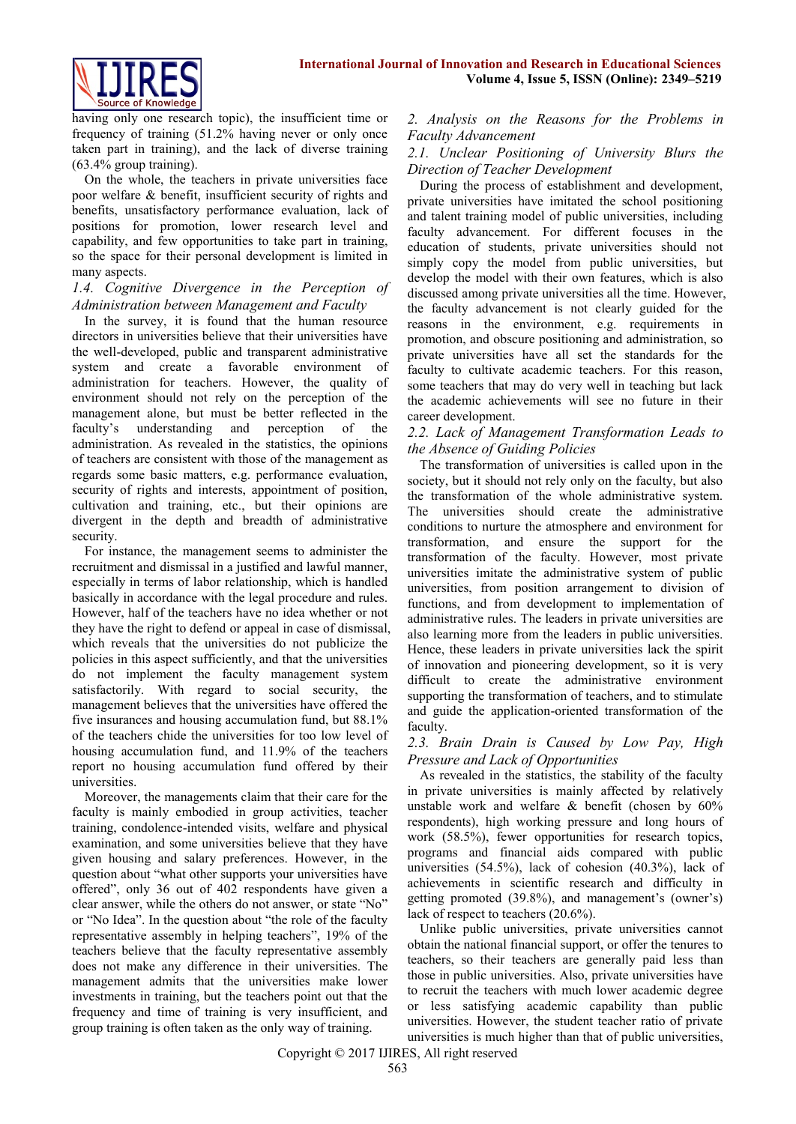

having only one research topic), the insufficient time or frequency of training (51.2% having never or only once taken part in training), and the lack of diverse training (63.4% group training).

On the whole, the teachers in private universities face poor welfare & benefit, insufficient security of rights and benefits, unsatisfactory performance evaluation, lack of positions for promotion, lower research level and capability, and few opportunities to take part in training, so the space for their personal development is limited in many aspects.

#### *1.4. Cognitive Divergence in the Perception of Administration between Management and Faculty*

In the survey, it is found that the human resource directors in universities believe that their universities have the well-developed, public and transparent administrative system and create a favorable environment of administration for teachers. However, the quality of environment should not rely on the perception of the management alone, but must be better reflected in the faculty's understanding and perception of the administration. As revealed in the statistics, the opinions of teachers are consistent with those of the management as regards some basic matters, e.g. performance evaluation, security of rights and interests, appointment of position, cultivation and training, etc., but their opinions are divergent in the depth and breadth of administrative security.

For instance, the management seems to administer the recruitment and dismissal in a justified and lawful manner, especially in terms of labor relationship, which is handled basically in accordance with the legal procedure and rules. However, half of the teachers have no idea whether or not they have the right to defend or appeal in case of dismissal, which reveals that the universities do not publicize the policies in this aspect sufficiently, and that the universities do not implement the faculty management system satisfactorily. With regard to social security, the management believes that the universities have offered the five insurances and housing accumulation fund, but 88.1% of the teachers chide the universities for too low level of housing accumulation fund, and 11.9% of the teachers report no housing accumulation fund offered by their universities.

Moreover, the managements claim that their care for the faculty is mainly embodied in group activities, teacher training, condolence-intended visits, welfare and physical examination, and some universities believe that they have given housing and salary preferences. However, in the question about "what other supports your universities have offered", only 36 out of 402 respondents have given a clear answer, while the others do not answer, or state "No" or "No Idea". In the question about "the role of the faculty representative assembly in helping teachers", 19% of the teachers believe that the faculty representative assembly does not make any difference in their universities. The management admits that the universities make lower investments in training, but the teachers point out that the frequency and time of training is very insufficient, and group training is often taken as the only way of training.

*2. Analysis on the Reasons for the Problems in Faculty Advancement* 

## *2.1. Unclear Positioning of University Blurs the Direction of Teacher Development*

During the process of establishment and development, private universities have imitated the school positioning and talent training model of public universities, including faculty advancement. For different focuses in the education of students, private universities should not simply copy the model from public universities, but develop the model with their own features, which is also discussed among private universities all the time. However, the faculty advancement is not clearly guided for the reasons in the environment, e.g. requirements in promotion, and obscure positioning and administration, so private universities have all set the standards for the faculty to cultivate academic teachers. For this reason, some teachers that may do very well in teaching but lack the academic achievements will see no future in their career development.

## *2.2. Lack of Management Transformation Leads to the Absence of Guiding Policies*

The transformation of universities is called upon in the society, but it should not rely only on the faculty, but also the transformation of the whole administrative system. The universities should create the administrative conditions to nurture the atmosphere and environment for transformation, and ensure the support for the transformation of the faculty. However, most private universities imitate the administrative system of public universities, from position arrangement to division of functions, and from development to implementation of administrative rules. The leaders in private universities are also learning more from the leaders in public universities. Hence, these leaders in private universities lack the spirit of innovation and pioneering development, so it is very difficult to create the administrative environment supporting the transformation of teachers, and to stimulate and guide the application-oriented transformation of the faculty.

#### *2.3. Brain Drain is Caused by Low Pay, High Pressure and Lack of Opportunities*

As revealed in the statistics, the stability of the faculty in private universities is mainly affected by relatively unstable work and welfare & benefit (chosen by 60% respondents), high working pressure and long hours of work (58.5%), fewer opportunities for research topics, programs and financial aids compared with public universities (54.5%), lack of cohesion (40.3%), lack of achievements in scientific research and difficulty in getting promoted (39.8%), and management's (owner's) lack of respect to teachers (20.6%).

Unlike public universities, private universities cannot obtain the national financial support, or offer the tenures to teachers, so their teachers are generally paid less than those in public universities. Also, private universities have to recruit the teachers with much lower academic degree or less satisfying academic capability than public universities. However, the student teacher ratio of private universities is much higher than that of public universities,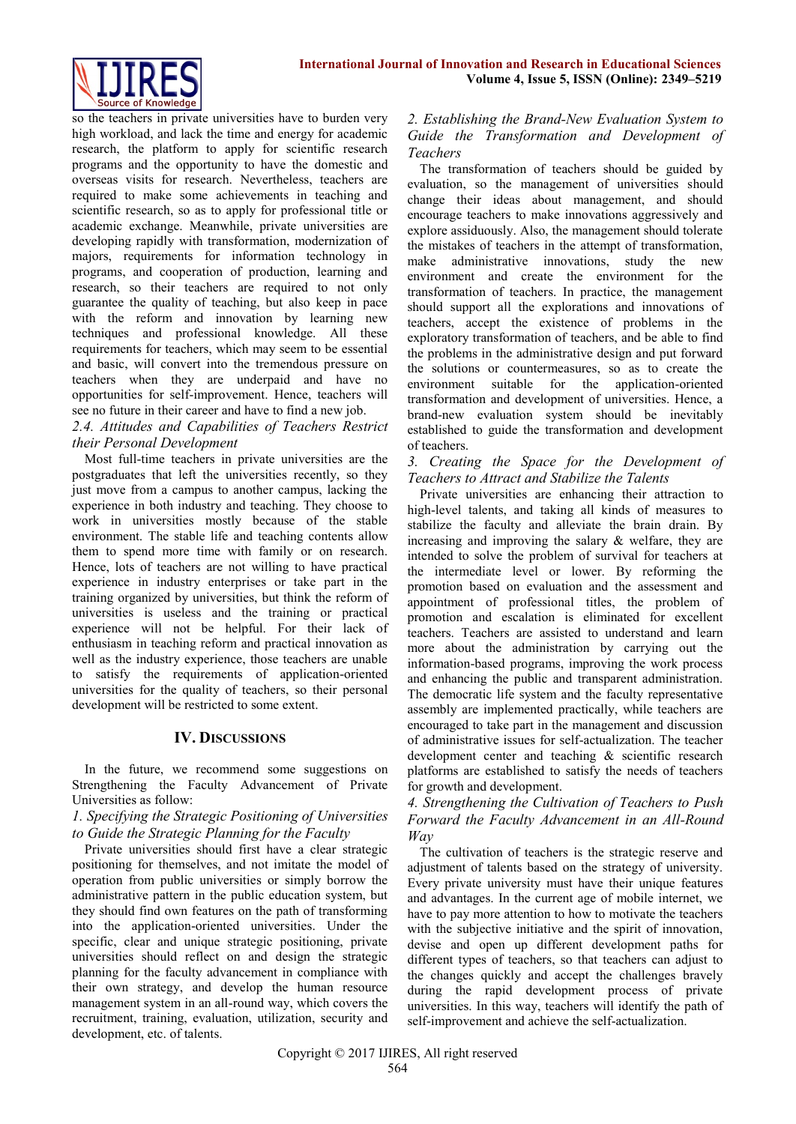so the teachers in private universities have to burden very high workload, and lack the time and energy for academic research, the platform to apply for scientific research programs and the opportunity to have the domestic and overseas visits for research. Nevertheless, teachers are required to make some achievements in teaching and scientific research, so as to apply for professional title or academic exchange. Meanwhile, private universities are developing rapidly with transformation, modernization of majors, requirements for information technology in programs, and cooperation of production, learning and research, so their teachers are required to not only guarantee the quality of teaching, but also keep in pace with the reform and innovation by learning new techniques and professional knowledge. All these requirements for teachers, which may seem to be essential and basic, will convert into the tremendous pressure on teachers when they are underpaid and have no opportunities for self-improvement. Hence, teachers will see no future in their career and have to find a new job.

## *2.4. Attitudes and Capabilities of Teachers Restrict their Personal Development*

Most full-time teachers in private universities are the postgraduates that left the universities recently, so they just move from a campus to another campus, lacking the experience in both industry and teaching. They choose to work in universities mostly because of the stable environment. The stable life and teaching contents allow them to spend more time with family or on research. Hence, lots of teachers are not willing to have practical experience in industry enterprises or take part in the training organized by universities, but think the reform of universities is useless and the training or practical experience will not be helpful. For their lack of enthusiasm in teaching reform and practical innovation as well as the industry experience, those teachers are unable to satisfy the requirements of application-oriented universities for the quality of teachers, so their personal development will be restricted to some extent.

## **IV. DISCUSSIONS**

In the future, we recommend some suggestions on Strengthening the Faculty Advancement of Private Universities as follow:

*1. Specifying the Strategic Positioning of Universities to Guide the Strategic Planning for the Faculty* 

Private universities should first have a clear strategic positioning for themselves, and not imitate the model of operation from public universities or simply borrow the administrative pattern in the public education system, but they should find own features on the path of transforming into the application-oriented universities. Under the specific, clear and unique strategic positioning, private universities should reflect on and design the strategic planning for the faculty advancement in compliance with their own strategy, and develop the human resource management system in an all-round way, which covers the recruitment, training, evaluation, utilization, security and development, etc. of talents.

## *2. Establishing the Brand-New Evaluation System to Guide the Transformation and Development of Teachers*

The transformation of teachers should be guided by evaluation, so the management of universities should change their ideas about management, and should encourage teachers to make innovations aggressively and explore assiduously. Also, the management should tolerate the mistakes of teachers in the attempt of transformation, make administrative innovations, study the new environment and create the environment for the transformation of teachers. In practice, the management should support all the explorations and innovations of teachers, accept the existence of problems in the exploratory transformation of teachers, and be able to find the problems in the administrative design and put forward the solutions or countermeasures, so as to create the environment suitable for the application-oriented transformation and development of universities. Hence, a brand-new evaluation system should be inevitably established to guide the transformation and development of teachers.

*3. Creating the Space for the Development of Teachers to Attract and Stabilize the Talents*

Private universities are enhancing their attraction to high-level talents, and taking all kinds of measures to stabilize the faculty and alleviate the brain drain. By increasing and improving the salary & welfare, they are intended to solve the problem of survival for teachers at the intermediate level or lower. By reforming the promotion based on evaluation and the assessment and appointment of professional titles, the problem of promotion and escalation is eliminated for excellent teachers. Teachers are assisted to understand and learn more about the administration by carrying out the information-based programs, improving the work process and enhancing the public and transparent administration. The democratic life system and the faculty representative assembly are implemented practically, while teachers are encouraged to take part in the management and discussion of administrative issues for self-actualization. The teacher development center and teaching & scientific research platforms are established to satisfy the needs of teachers for growth and development.

### *4. Strengthening the Cultivation of Teachers to Push Forward the Faculty Advancement in an All-Round Way*

The cultivation of teachers is the strategic reserve and adjustment of talents based on the strategy of university. Every private university must have their unique features and advantages. In the current age of mobile internet, we have to pay more attention to how to motivate the teachers with the subjective initiative and the spirit of innovation. devise and open up different development paths for different types of teachers, so that teachers can adjust to the changes quickly and accept the challenges bravely during the rapid development process of private universities. In this way, teachers will identify the path of self-improvement and achieve the self-actualization.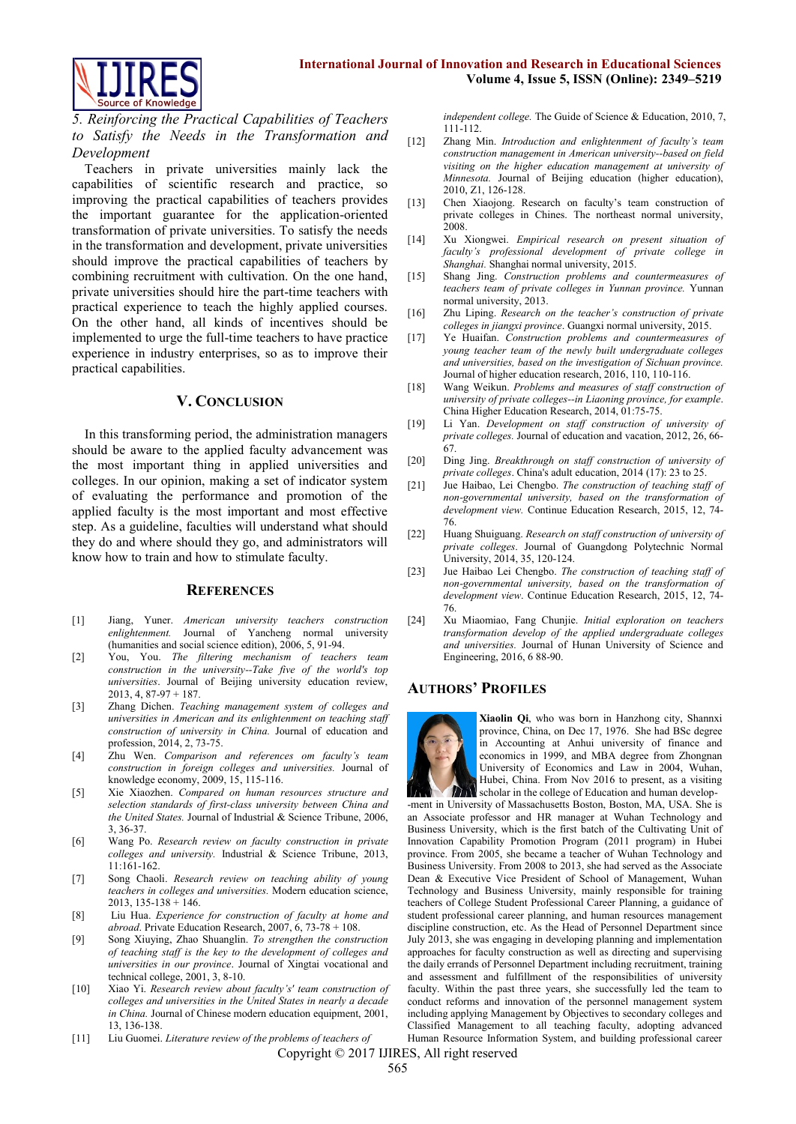

*5. Reinforcing the Practical Capabilities of Teachers to Satisfy the Needs in the Transformation and Development* 

Teachers in private universities mainly lack the capabilities of scientific research and practice, so improving the practical capabilities of teachers provides the important guarantee for the application-oriented transformation of private universities. To satisfy the needs in the transformation and development, private universities should improve the practical capabilities of teachers by combining recruitment with cultivation. On the one hand, private universities should hire the part-time teachers with practical experience to teach the highly applied courses. On the other hand, all kinds of incentives should be implemented to urge the full-time teachers to have practice experience in industry enterprises, so as to improve their practical capabilities.

#### **V. CONCLUSION**

In this transforming period, the administration managers should be aware to the applied faculty advancement was the most important thing in applied universities and colleges. In our opinion, making a set of indicator system of evaluating the performance and promotion of the applied faculty is the most important and most effective step. As a guideline, faculties will understand what should they do and where should they go, and administrators will know how to train and how to stimulate faculty.

#### **REFERENCES**

- [1] Jiang, Yuner. *American university teachers construction enlightenment.* Journal of Yancheng normal university (humanities and social science edition), 2006, 5, 91-94.
- [2] You, You. *The filtering mechanism of teachers team construction in the university--Take five of the world's top universities*. Journal of Beijing university education review, 2013, 4, 87-97 + 187.
- [3] Zhang Dichen. *Teaching management system of colleges and universities in American and its enlightenment on teaching staff construction of university in China.* Journal of education and profession, 2014, 2, 73-75.
- [4] Zhu Wen. *Comparison and references om faculty's team construction in foreign colleges and universities.* Journal of knowledge economy, 2009, 15, 115-116.
- [5] Xie Xiaozhen. *Compared on human resources structure and selection standards of first-class university between China and the United States.* Journal of Industrial & Science Tribune, 2006, 3, 36-37.
- [6] Wang Po. *Research review on faculty construction in private colleges and university.* Industrial & Science Tribune, 2013, 11:161-162.
- [7] Song Chaoli. *Research review on teaching ability of young teachers in colleges and universities.* Modern education science, 2013, 135-138 + 146.
- [8] Liu Hua. *Experience for construction of faculty at home and abroad*. Private Education Research, 2007, 6, 73-78 + 108.
- [9] Song Xiuying, Zhao Shuanglin. *To strengthen the construction of teaching staff is the key to the development of colleges and universities in our province*. Journal of Xingtai vocational and technical college, 2001, 3, 8-10.
- [10] Xiao Yi. *Research review about faculty's' team construction of colleges and universities in the United States in nearly a decade in China.* Journal of Chinese modern education equipment, 2001, 13, 136-138.
- [11] Liu Guomei. *Literature review of the problems of teachers of*

*independent college.* The Guide of Science & Education, 2010, 7, 111-112.

- [12] Zhang Min. *Introduction and enlightenment of faculty's team construction management in American university--based on field visiting on the higher education management at university of Minnesota.* Journal of Beijing education (higher education), 2010, Z1, 126-128.
- [13] Chen Xiaojong. Research on faculty's team construction of private colleges in Chines. The northeast normal university, 2008.
- [14] Xu Xiongwei. *Empirical research on present situation of faculty's professional development of private college in Shanghai.* Shanghai normal university, 2015.
- [15] Shang Jing. *Construction problems and countermeasures of teachers team of private colleges in Yunnan province.* Yunnan normal university, 2013.
- [16] Zhu Liping. *Research on the teacher's construction of private colleges in jiangxi province*. Guangxi normal university, 2015.
- [17] Ye Huaifan. *Construction problems and countermeasures of young teacher team of the newly built undergraduate colleges and universities, based on the investigation of Sichuan province.* Journal of higher education research, 2016, 110, 110-116.
- [18] Wang Weikun. *Problems and measures of staff construction of university of private colleges--in Liaoning province, for example*. China Higher Education Research, 2014, 01:75-75.
- [19] Li Yan. *Development on staff construction of university of private colleges.* Journal of education and vacation, 2012, 26, 66- 67.
- [20] Ding Jing. *Breakthrough on staff construction of university of private colleges*. China's adult education, 2014 (17): 23 to 25.
- [21] Jue Haibao, Lei Chengbo. *The construction of teaching staff of non-governmental university, based on the transformation of development view.* Continue Education Research, 2015, 12, 74- 76.
- [22] Huang Shuiguang. *Research on staff construction of university of private colleges*. Journal of Guangdong Polytechnic Normal University, 2014, 35, 120-124.
- [23] Jue Haibao Lei Chengbo. *The construction of teaching staff of non-governmental university, based on the transformation of development view*. Continue Education Research, 2015, 12, 74- 76.
- [24] Xu Miaomiao, Fang Chunjie. *Initial exploration on teachers transformation develop of the applied undergraduate colleges and universities.* Journal of Hunan University of Science and Engineering, 2016, 6 88-90.

#### **AUTHORS' PROFILES**



**Xiaolin Qi**, who was born in Hanzhong city, Shannxi province, China, on Dec 17, 1976. She had BSc degree in Accounting at Anhui university of finance and economics in 1999, and MBA degree from Zhongnan University of Economics and Law in 2004, Wuhan, Hubei, China. From Nov 2016 to present, as a visiting **TA** scholar in the college of Education and human develop-

-ment in University of Massachusetts Boston, Boston, MA, USA. She is an Associate professor and HR manager at Wuhan Technology and Business University, which is the first batch of the Cultivating Unit of Innovation Capability Promotion Program (2011 program) in Hubei province. From 2005, she became a teacher of Wuhan Technology and Business University. From 2008 to 2013, she had served as the Associate Dean & Executive Vice President of School of Management, Wuhan Technology and Business University, mainly responsible for training teachers of College Student Professional Career Planning, a guidance of student professional career planning, and human resources management discipline construction, etc. As the Head of Personnel Department since July 2013, she was engaging in developing planning and implementation approaches for faculty construction as well as directing and supervising the daily errands of Personnel Department including recruitment, training and assessment and fulfillment of the responsibilities of university faculty. Within the past three years, she successfully led the team to conduct reforms and innovation of the personnel management system including applying Management by Objectives to secondary colleges and Classified Management to all teaching faculty, adopting advanced Human Resource Information System, and building professional career